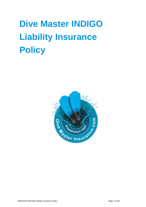# **Dive Master INDIGO Liability Insurance Policy**

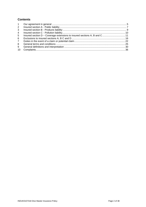# **Contents**

| 2              |                                                                           |  |
|----------------|---------------------------------------------------------------------------|--|
| 3              |                                                                           |  |
| $\overline{4}$ |                                                                           |  |
| 5 <sup>5</sup> | Insured section D - Coverage extensions to insured sections A, B and C 11 |  |
| 6              |                                                                           |  |
| $7^{\circ}$    |                                                                           |  |
| 8              |                                                                           |  |
| 9              |                                                                           |  |
| 10             |                                                                           |  |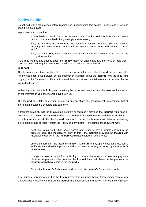# **Policy Guide**

Do not wait until a claim arises before reading and understanding this **policy** – please read it now and keep it in a safe place.

In particular make sure that:

- All the details shown in the Schedule are correct. The **insured** should let their insurance broker know immediately if any changes are necessary
- You, as the **insured**, have read the conditions relation to those Sections covered including the General terms and conditions and Exclusions to insured sections A, B, C and D
- You, as the **insured**, understand the notes and how to make a complaint as stated in the Complaints section

If the **Insured** has any queries about the **policy**, does not understand any part of it or feels that it does not meet their requirements they should consult their Insurance Broker.

#### **Important**

The **Insurers** acceptance of the risk is based upon the information the **Insured** provided and this **Policy** has been issued based on the information supplied about the **Insured** and the **Insured's** property in the Statement of Fact or Proposal Form and other material information declared by the Insured to Insurers.

In deciding to accept this **Policy** and in setting the terms and premium, we, the **Insurers** have relied on the information you, the Insured have given us.

The **Insured** must take care when answering any questions the **Insurers** ask by ensuring that all information provided is accurate and complete.

If Insurers establish that the **Insured** deliberately or recklessly provided the **Insurers** with false or misleading information the **Insurers** will treat this **Policy** as if it never existed and decline all claims. If the **Insurers** establish that the **Insured** carelessly provided the **Insurers** with false or misleading information it could adversely affect the **Policy** and any claim. For example the **Insurers** may:

- treat this **Policy** as if it had never existed and refuse to pay all claims and return the premium paid. The **Insurers** will only do this if the **Insurers** provided the **Insured** with insurance cover which the **Insurers** would not otherwise have offered;
- amend the terms of the Insured's **Policy**. The **Insurers** may apply these amended terms as if they were already in place if a claim has been adversely impacted by the **Insured's** carelessness;
- charge the **Insured** more for the **Policy** or reduce the amount the **Insurers** pay on a claim in the proportion the premium the **Insured** have paid bears to the premium the **Insurers** would have charged the **Insured**; or
- Cancel the **Insured's Policy** in accordance with the **Insurer's** Cancellation rights

It is therefore very important that the **Insured** lets their insurance broker know immediately of any changes that affect the information the **Insured** has declared to the **Insurer**. For example in respect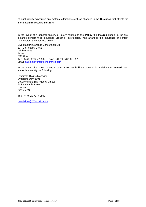of legal liability exposures any material alterations such as changes in the **Business** that affects the information disclosed to **Insurers**.

In the event of a general enquiry or query relating to the **Policy** the **Insured** should in the first instance contact their Insurance Broker or intermediary who arranged this insurance or contact Divemaster at the address below:

Dive Master Insurance Consultants Ltd 17 – 23 Rectory Grove Leigh-on-Sea **Essex** SS9 2HA Tel: +44 (0) 1702 476902 Fax: + 44 (0) 1702 471892 Email: [sales@divemasterinsurance.com](mailto:sales@divemasterinsurance.com)

In the event of a claim or any circumstance that is likely to result in a claim the **Insured** must immediately notify the following:

Syndicate Claims Manager Syndicate DTW1991 Coverys Managing Agency Limited 71 Fenchurch Street London EC3M 4BS

Tel: +44(0) 20 7977 0800

[newclaims@DTW1991.com](mailto:newclaims@DTW1991.com)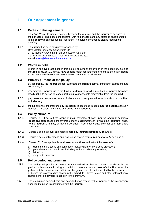# <span id="page-4-0"></span>**1 Our agreement in general**

## **1.1 Parties to this agreement**

This Dive Master Insurance Policy is between the **insured** and the **insurer** as declared in the **schedule**. This document, together with its **schedule** and any attached endorsements is the **policy** which sets out this insurance. It is a legal contract so please read all of it carefully.

1.1.1 This **policy** has been exclusively arranged by: Dive Master Insurance Consultants Ltd 17-23 Rectory Grove, Leigh-on-Sea, Essex, SS9 2HA Tel: +44 (0) 1702 476902 Fax: +44 (0) 1702 471892 e-mail: [sales@divemasterinsurance.com](mailto:sales@divemasterinsurance.com)

#### **1.2 Words in bold**

Words in bold type face used in this **policy** document, other than in the headings, such as **insured** in clause 1.1 above, have specific meanings attached to them as set out in clause 9, the General definitions and interpretation section of this document.

# **1.3 Primary purpose of the policy**

By this **policy,** the **insurer** agrees, subject to the **policy's** terms, limitations, exclusions and conditions, to:

- 1.3.1 indemnify the **insured** up to the **limit of indemnity** for all sums that the **insured** becomes legally liable to pay as damages, including claimant costs recoverable from the **insured**;
- 1.3.2 pay **costs and expenses**, some of which are expressly stated to be in addition to the **limit of indemnity**;
- 1.3.3 the full extent of the insurance by this **policy** is described in each **insured section** set out in clauses 2 - 4 below and stated as insured in the **schedule**.

#### **1.4 Policy structure**

- 1.4.1 Clauses 2 4 set out the scope of main coverage of each **insured section**; additional **costs and expenses**; extra coverage and the circumstances in which the **insurer's** liability to the **insured** is limited, or may be excluded. Also, each clause sets out other terms and conditions.
- 1.4.2 Clause 5 sets out cover extensions shared by **insured sections A, B,** and **C**.
- 1.4.3 Clause 6 sets out limitations and exclusions shared by **insured sections A, B, C** and **D**.
- 1.4.4 Clauses 7-10 are applicable to all **insured sections** and set out the **insurer's** ;
	- a) claims handling terms and conditions, including further conditions precedent,
	- b) general terms and conditions, including further conditions precedent,
	- c) definitions,
	- d) complaints procedure.

# **1.5 Policy period and premium**

- 1.5.1 The **policy** will provide insurance as summarised in clauses 1.3 and 1.4 above for the **period of insurance** it being a condition precedent to the **insurer's** liability under this **policy** that the premium and additional charges are paid to and accepted by the **insurer**, on or before the payment date shown in the **schedule**. Taxes, levies and other relevant fiscal charges shall be payable in addition to the premium.
- 1.5.2 The premium is deemed paid and accepted upon receipt by the **insurer** or the intermediary appointed to place this insurance with the **insurer**.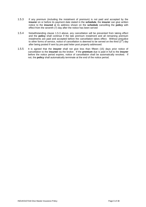- 1.5.3 If any premium (including the instalment of premium) is not paid and accepted by the **insurer** on or before its payment date stated in the **schedule**, the **insurer** can give written notice to the **insured** at its address shown on the **schedule** cancelling the **policy** with effect from the seventh (7) day after the notice has been served
- 1.5.4 Notwithstanding clause 1.5.3 above, any cancellation will be prevented from taking effect and the **policy** shall continue if the late premium instalment and all remaining premium instalments are paid and accepted before the cancellation takes effect. Without prejudice to other forms of service, notice of cancellation is deemed to be served on the third  $(3<sup>rd</sup>)$  day after being posted if sent by pre-paid letter post properly addressed.
- 1.5.5 It is agreed that the **insurer** shall not give less than fifteen (15) days prior notice of cancellation to the **insured** via the broker. If the **premium** due is paid in full to the **insurer** before the notice period expires, notice of cancellation shall be automatically revoked. If not, the **policy** shall automatically terminate at the end of the notice period.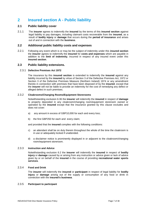# <span id="page-6-0"></span>**2 Insured section A - Public liability**

# **2.1 Public liability cover**

2.1.1 The **insurer** agrees to indemnify the **insured** by the terms of this **insured section** against legal liability to pay damages, including claimant costs recoverable from the **insured**, as a result of **bodily injury** or **damage** that occurs during the **period of insurance** and arises out of and in connection with the **business**.

# **2.2 Additional public liability costs and expenses**

2.2.1 Following any event which is or may be the subject of indemnity under this **insured section** the **insurer** agrees to indemnify the **insured** for **costs and expenses** which are payable in addition to the **limit of indemnity**, incurred in respect of any insured event under this **insured section**.

# **2.3 Public liability extensions.**

#### 2.3.1 **Defective Premises Act 1972**

The insurance by this **insured section** is extended to indemnify the **insured** against any liability incurred by the **insured** by virtue of Section 3 of the Defective Premises Act, 1972 or Section 3 of the Defective Premises Measure (Northern Ireland) 1974 or any amendment thereto in connection with premises that have been disposed of by the **insured**, except that the **insurer** will not be liable to provide an indemnity for the cost of remedying any defect or alleged defect in such premises.

#### 2.3.2 **Cloakrooms/Changing Rooms/Equipment Storerooms**

Notwithstanding exclusion 6.36 the **insurer** will indemnify the **insured** in respect of **damage** to property deposited in any cloakroom/changing room/equipment storeroom owned or operated by the **insured** except that the insurance granted by this clause excludes and does not cover:

- a) any amount in excess of GBP10,000 for each and every loss;
- b) the first GBP250 for each and every claim;

and provided that the **insured** complies with the following conditions:

- c) an attendant shall be on duty therein throughout the whole of the time the cloakroom is in use or adequately locked if unattended.
- d) a disclaimer notice is prominently displayed in or adjacent to the cloakroom/changing room/equipment storeroom.

#### 2.3.3 **Instruction and Advice**

Notwithstanding exclusion 6.2 the **insurer** will indemnify the **insured** in respect of **bodily injury** or **damage** caused by or arising from any instruction or advice given or lack of advice given by or on behalf of the **insured** in the course of providing **recreational water sports services**.

#### 2.3.4 **Food and Drink**

The **insurer** will indemnify the **insured** or **participant** in respect of legal liability for **bodily injury** or **damage** arising out of the supply or consumption of any food or drink in connection with the **insured's business**.

#### 2.3.5 **Participant to participant**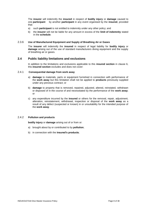The **insurer** will indemnify the **insured** in respect of **bodily injury** or **damage** caused to one **participant** by another **participant** in any event organised by the **insured**, provided that:

- a) such **participant** is not entitled to indemnity under any other policy; and
- b) the **insurer** will not be liable for any amount in excess of the **limit of indemnity** stated in the **schedule**.

#### 2.3.6 **Use of Manufactured Equipment and Supply of Breathing Air or Gases**

The **insurer** will indemnify the **insured** in respect of legal liability for **bodily injury** or **damage** arising out of the use of standard manufacturers diving equipment and the supply of breathing air or gases.

#### **2.4 Public liability limitations and exclusions**

In addition to the limitations and exclusions applicable to this **insured section** in clause 6, this **insured section** excludes and does not cover:

#### 2.4.1 **Consequential damage from work away**

- a) **damage** to materials, parts or equipment furnished in connection with performance of the **work away** but this limitation shall not be applied to **products** previously supplied under any previous contract; or
- b) **damage** to property that is removed, repaired, adjusted, altered, reinstated, withdrawn or disposed of in the course of and necessitated by the performance of the **work away**; or
- c) any expenditure incurred by the **insured** or others for the removal, repair, adjustment, alteration, reinstatement, withdrawal, inspection or disposal of the **work away** as a result of any defect (suspected or known) in or unsuitability for the intended purpose of the **work away**.

## 2.4.2 **Pollution and products**

**bodily injury** or **damage** arising out of or from or:

- a) brought about by or contributed to by **pollution**;
- b) in connection with the **insured's products**;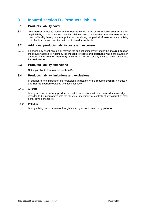# <span id="page-8-0"></span>**3 Insured section B - Products liability**

# **3.1 Products liability cover**

3.1.1 The **insurer** agrees to indemnify the **insured** by the terms of this **insured section** against legal liability to pay damages, including claimant costs recoverable from the **insured** as a result of **bodily injury** or **damage** that occurs during the **period of insurance** and arising out of or from or in connection with the **insured's products**.

# **3.2 Additional products liability costs and expenses**

3.2.1 Following any event which is or may be the subject of indemnity under this **insured section** the **insurer** agrees to indemnify the **insured** for **costs and expenses** which are payable in addition to the **limit of indemnity**, incurred in respect of any insured event under this **insured section**.

#### **3.3 Products liability extensions**

Not applicable to this **insured section B.**

# **3.4 Products liability limitations and exclusions**

In addition to the limitations and exclusions applicable to this **insured section** in clause 6, this **insured section** excludes and does not cover:

#### 3.4.1 **Aircraft**

liability arising out of any **product** or part thereof which with the **insured's** knowledge is intended to be incorporated into the structure, machinery or controls of any aircraft or other aerial device or satellite;

#### 3.4.2 **Pollution**

liability arising out of or from or brought about by or contributed to by **pollution**.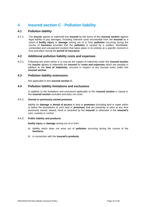# <span id="page-9-0"></span>**4 Insured section C - Pollution liability**

# **4.1 Pollution liability**

4.1.1 The **insurer** agrees to indemnify the **insured** by the terms of this **insured section** against legal liability to pay damages, including claimant costs recoverable from the **insured** as a result of **bodily injury** or **damage** arising out of or from **pollution** occurring during the course of **business** provided that the **pollution** is caused by a sudden, identifiable, unintended and unexpected incident that takes place in its entirety at a specific moment in time and place during the **period of insurance**.

#### **4.2 Additional pollution liability costs and expenses**

4.2.1 Following any event which is or may be the subject of indemnity under this **insured section** the **insurer** agrees to indemnify the **insured** for **costs and expenses** which are payable in addition to the **limit of indemnity**, incurred in respect of any insured event under this **insured section**.

# **4.3 Pollution liability extensions**

Not applicable to this **insured section C.**

#### **4.4 Pollution liability limitations and exclusions**

In addition to the limitations and exclusions applicable to this **insured section** in clause 6, this **insured section** excludes and does not cover:

#### 4.4.1 **Owned or previously owned premises**

liability for **damage** or **denial of access** to land or **premises** (including land or water within or below the boundaries of such land or **premises**) that are presently or were at any time previously owned, leased, hired or tenanted by the **insured** or otherwise in the **insured's**  care, custody or control.

#### 4.4.2 **Public liability and products**

**bodily injury** or **damage** arising out of or from:

- a) liability which does not arise out of **pollution** occurring during the course of the **business**;
- b) in connection with the **insured's products**.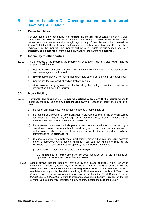# <span id="page-10-0"></span>**5 Insured section D – Coverage extensions to insured sections A, B and C**

## **5.1 Cross liabilities**

For each legal entity comprising the **insured**, the **insurer** will separately indemnify each party under this **insured section** as if a separate **policy** had been issued to each but in respect of claims made or **suits** brought against any of them by any other **insured** the **insurer's** total liability to all parties, will not exceed the **limit of indemnity**. Further, where requested by the **insured**, the **insurer** will waive all rights of subrogation against a subsidiary of the **insured** or from a subsidiary against the parent (the **insured**).

#### **5.2 Indemnity to other parties**

- 5.2.1 At the request of the **insured**, the **insurer** will separately indemnify each **other insured party** provided that the:
	- a) **insured** would have been entitled to indemnity by this insurance had the claim or **suit**  been made against the **insured**;
	- b) **other insured party** is not indemnified under any other insurance or in any other way;
	- c) **insurer** has the sole conduct and control of any claim;
	- d) **other insured party** agrees it will be bound by this **policy** (other than in respect of premium) as if it were the **insured.**

## **5.3 Motor liability**

- 5.3.1 Notwithstanding exclusion 6.34 to **insured sections A, B, C** and **D**, the **insurer** agrees to indemnify the **insured** and any **other insured party** in respect of liability arising out of or from:
	- a) the use of any mechanically propelled vehicle as a tool or plant; or
	- b) the loading or unloading of any mechanically propelled vehicle or trailer when carried out beyond the limits of any carriageway or thoroughfare by a person other than the driver or attendant of any such vehicle or trailer; or
	- c) the movement of any mechanically propelled vehicle not owned hired or borrowed by or leased to the **insured** or any **other insured party** on or under any **premises** occupied by the **insured** where such vehicle is causing an obstruction and interfering with the performance of the **business;** or
	- d) **damage** to visitors' or **employees'** mechanically propelled vehicle (including contents and/or accessories) while parked within any car park for which the **insured** are responsible or on any **premises** occupied by the **insured** provided that:
		- i) such vehicle is not lent or hired to the **insured;** or
		- ii) the **damage** to an **employee's** vehicle does not arise out of the maintenance, operation or use of a vehicle by that **employee**;
	- 5.3.2 except always that the indemnity provided by this clause excludes liability for which insurance is necessary to comply with the Road Traffic Act 1998 as amended by The Motor Vehicles (Compulsory Insurance) Regulations 1992 or any alteration to such regulations or any similar legislation applying to Northern Ireland, the Isle of Man or the Channel Islands or to any other territory consequent on the Third Council Directive 90/232/EEC of 14/05/1990 relating to insurance against civil liability in respect of the use of motor vehicles or similar legislation in any country outside the European Union.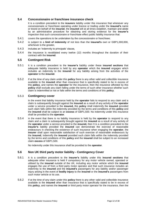# **5.4 Concessionaire or franchisee insurance check**

It is a condition precedent to the **insurers** liability under this insurance that whenever any concessionaire or franchisee operating under licence or trading under the **insured's** name or brand on behalf of the **insured**, the **insured** will at all times establish, maintain and abide by an administrative procedure for obtaining and storing evidence for the **insurer's** inspection that such concessionaire or franchisee effect public liability insurance that:

- 5.4.1 covers the operations to be undertaken by the concessionaire or franchisee;
- 5.4.2 is subject to a **limit of indemnity** of not less than the **insured's** own or GBP1,000,000, whichever is the greater.
- 5.4.3 includes an 'indemnity to principals' clause,
- 5.4.4 the insurance is revalidated every twelve (12) months throughout the duration of their contract with the **insured**.

#### **5.5 Contingent Risk**

- 5.5.1 It is a condition precedent to the **insurer's** liability under these **insured sections** that adequate liability insurance is held by any **operator** which the **insured** engages which includes an indemnity to the **insured** for any liability arising from the activities of the **operator** to the **insured**.
- 5.5.2 If at the time of any claim under this **policy** there is any other valid and collectible insurance available to the **insured** other than insurance that is specifically stated to be in excess of this **policy**, and names the **operator** for the insurance, then the insurance afforded by this **policy** shall exclude any claim falling under the terms of such other insurance whether such claim is indemnified or not or falls within the terms and conditions of this **policy**.

#### 5.5.3 **Contingency cover**

In the event that liability insurance held by the **operator** fails to respond to any claim and a claim is subsequently brought against the **insured** as a result of any activity of the **operator** under a service provided to the **insured,** this **policy** shall indemnify the **insured** provided such claim falls within the indemnity provided by the terms and conditions of this **policy** and the **insured** shall be subject to an **excess** of GBP1,500. No indemnity under this insurance shall be provided to the **operator**.

5.5.4 in the event that there is no liability insurance is held by the **operator** to respond to any claim and a claim is subsequently brought against the **insured** as a result of any activity of the **operator** under a service provided to the **insured,** then It is a condition precedent to the **insurer's** liability provided the **insured** can demonstrate the exercise of reasonable endeavours in checking the existence of such insurance when engaging the **operator**, the **insurer** shall upon reasonable satisfaction of such exercise of reasonable endeavours by the **insured**, indemnify the **insured** provided such claim falls within the indemnity provided by the terms and conditions of this **policy** and the **insured** shall be subject to an increased claim **excess** of GBP1,500.

No indemnity under this insurance shall be provided to the **operator**.

# **5.6 Non UK third party motor liability - Contingency Cover**

- 5.6.1 It is a condition precedent to the **insurer's** liability under this **insured sections** that adequate other insurance is held if compulsory for any motor vehicle owned, operated or utilised by the **insured** outside of the UK, including any motor vehicle which the **insured** engages the use of from a third party motor operator and that such insurance includes an indemnity to the **insured** and the **insured's** passengers for any liability and/or passenger injury arising in the event of **bodily injury** to the **insured** or the **insured's** passengers from such motor vehicle or its use.
- 5.6.2 If at the time of any claim under this **policy** there is any other valid and collectible insurance available to the **insured** other than insurance that is specifically stated to be in excess of this **policy**, and names the **insured** or third party motor operator for the insurance, then the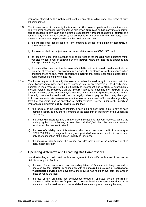insurance afforded by this **policy** shall exclude any claim falling under the terms of such other insurance.

- 5.6.3 The **insurer** agrees to indemnify the **insured** or **other insured party** in the event that motor liability and/or passenger injury insurance held by an **employee** or third party motor operator fails to respond to any claim and a claim is subsequently brought against the **insured** as a result of any motor vehicle driven by an **employee** or the activity of the third party motor operator under a service provided to the **insured** provided that:
	- a) the **insurer** shall not be liable for any amount in excess of the **limit of indemnity** of GBP500,000; and
	- b) the **insured** shall be subject to an increased claim **excess** of GBP1,500; and
	- c) no indemnity under this insurance shall be provided to the **insured** when operating motor vehicles owned, hired or borrowed by the **insured** where the **insured** is operating and driving such vehicles; and
	- d) it is a condition precedent to the **insurer's** liability that the **insured** can demonstrate the exercise of reasonable endeavours in checking the existence of such insurance when engaging the third party motor operator, the **insurer** shall upon reasonable satisfaction of such exercise indemnify the **insured**.
- 5.6.4 The **insurer** agrees to indemnify the **insured** or **other insured party** in the event that other motor liability and/or passenger injury insurance held by an employee or third party motor operator is less than GBP1,000,000 (underlying insurance) and a claim is subsequently brought against the **insured**, then the **insurer** agrees to indemnify the **insured** for the amount in excess of the total underlying first loss and/or underlying excess insurance limit of indemnity that the **insured** shall become legally liable to pay as third party damages, including claimant costs recoverable from the **insured** as a result of loss or damage arising from the ownership, use or operation of motor vehicles insured under such underlying insurance resulting from **bodily injury** provided that:
	- a) the insurers of the underlying insurance have paid or been held liable to pay or have admitted liability to pay the full amount of the total limit of indemnity of the underlying insurance;
	- b) the underlying insurance has a limit of indemnity not less than GBP500,000. Where the underlying limit of indemnity is less than GBP500,000 then the minimum amount required will be deemed to stand;
	- c) the **insurer's** liability under this extension shall not exceed a sub **limit of indemnity** of GBP1,000,000 in the aggregate in any one **period of insurance** payable in excess and only after exhaustion of the above underlying insurance.
	- d) the **insurers'** liability under this clause excludes any injury to the employee or third party motor operator.

# **5.7 Operating Watercraft and Breathing Gas Compressors**

Notwithstanding exclusion 6.4 the **insurer** agrees to indemnify the **insured** in respect of liability arising out of or from:

- a) the use of any **watercraft** not exceeding fifteen (15) meters in length owned or operated by the **insured** in connection with the **insured's** provision of **recreational watersports services** in the event that the **insured** has no other available insurance in place covering the loss;
- b) the use of any breathing gas compressor owned or operated by the **insured** in connection with the **insured's** provision of **recreational watersports services** in the event that the **insured** has no other available insurance in place covering the loss;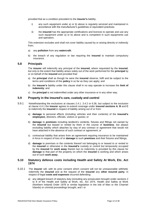provided that as a condition precedent to the **insurer's** liability;

- i) any such equipment under a) or b) above is regularly serviced and maintained in accordance with the manufacturer's guidelines or equivalent practices;
- ii) the **insured** has the appropriate certifications and licences to operate and use any such equipment under a) or b) above and is competent in such equipments use and operation;

This extension excludes and shall not cover liability caused by or arising directly or indirectly from;

- a) any **pollution** from any **watercraft**;
- b) the breach of any regulation or law requiring the **insured** to maintain compulsory insurance.

#### **5.8 Principals**

The **insurer** will indemnify any principal of the **insured,** where requested by the **insured**, but only to the extent that liability arises solely out of the work performed for the **principal** by or on behalf of the **insured** and provided that:

- a) the **principal** shall as though he were the **insured** observe, fulfil and be subject to the terms and conditions of this **policy** in so far as they can apply; and
- b) the **insurer's** liability under this clause shall in no way operate to increase the **limit of indemnity**; and
- c) the **principal** is not indemnified under any other insurance or in any other way.

#### **5.9 Property in the insured's care, custody and control**

- 5.9.1 Notwithstanding the exclusions at clauses 2.4.1. 3.4.2 or 6.36, but subject to the exclusion at clause 4.4.1 the **insurer** agrees to extend coverage under **insured sections A**, **B** and **C** to indemnify the **insured** in respect of liability arising out of or from:
	- a) **damage** to personal effects (including vehicles and their contents) of the **insured's employees**, directors, officials, visitors or guests; or
	- b) **damage** to **premises** including landlord's contents, fixtures and fittings not owned by the **insured** but leased or rented by them in the course of **business**, but always excluding liability which attaches by way of any contract or agreement that would not have attached in the absence of such contract or agreement; or
	- c) contractual liability that arises from an agreement requiring insurance to be maintained in force in respect of loss of or **damage** to such **premises** and their fixtures and fittings;
	- d) **damage** to premises or the contents thereof not belonging to or leased to or rented to the **insured** or otherwise in the **insured's** custody or control but temporarily occupied by the **insured** for **work away** therein but no indemnity is provided by this clause for **damage** to that part of the property on which the **insured** is working and which arises out of such **work away** .

# **5.10 Statutory defence costs including Health and Safety At Work, Etc. Act 1974**

- 5.10.1 The **insurer** will, with its prior consent which consent will not be unreasonable withheld, indemnify the **insured** and at the request of the **insured** any **other insured party**, in respect of legal **costs and expenses** incurred defending:
	- a) any alleged breach of statutory duty (including any prosecution brought under sections 2 to 8 of the Health and Safety at Work, etc. Act 1974, Health and Safety at Work (Northern Ireland) Order 1978 or similar legislation in the Isle of Man or the Channel Islands) or criminal proceedings brought; and / or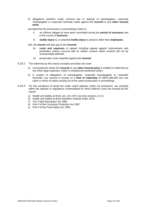b) allegations (whether under common law or statute) of manslaughter, corporate manslaughter or corporate homicide made against the **insured** or any **other insured party**;

provided that the prosecution or proceedings relate to:

- i) an offence alleged to have been committed during the **period of insurance** and in the course of **business**;
- ii) **bodily injury** to, or potential **bodily injury** to persons other than **employees**;

and, the **insurer** will also pay to the **insured**:

- iii) **costs and expenses** of appeal including appeal against improvement and prohibition notices incurred with its written consent which consent will not be unreasonably withheld;
- iv) prosecution costs awarded against the **insured**;
- 5.10.2 The indemnity by this clause excludes and does not cover:
	- a) circumstances where the **insured** or any **other insured party** is entitled to indemnity by any other legal expenses, motor or employment protection policy;
	- b) in respect of allegations of manslaughter, corporate manslaughter or corporate homicide, any amount in excess of a **limit of indemnity** of GBP1,000,000 any one claim or series of claims arising out of the same prosecution or proceedings.
- 5.10.3 For the avoidance of doubt the under noted statutes, whilst not exhaustive, are included within the statutes or regulations contemplated for which defence costs are insured by this clause:
	- a) Health and Safety at Work, etc. Act 1974, but only sections 2 to 8,
	- b) Health and Safety at Work (Northern Ireland) Order 1978,
	- c) The Trade Description Act 1968
	- d) Part II of the Consumer Protection Act 1987
	- e) Part II of the Food Safety Act 1990.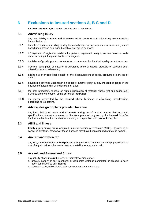# <span id="page-15-0"></span>**6 Exclusions to insured sections A, B C and D**

**Insured sections A, B C and D** exclude and do not cover:

## **6.1 Advertising injury**

any loss, liability or **costs and expenses** arising out of or from advertising injury including but not limited to:

- 6.1.1 breach of contract including liability for unauthorised misappropriation of advertising ideas based upon breach or alleged breach of an implied contract;
- 6.1.2 infringement of registered trademarks, patents, registered designs, service marks or trade name including infringement of titles or slogans;
- 6.1.3 the failure of goods, products or services to conform with advertised quality or performance;
- 6.1.4 incorrect description or mistake in advertised price of goods, products or services sold, offered for sale or advertised;
- 6.1.5 arising out of or from libel, slander or the disparagement of goods, products or services of others;
- 6.1.6 advertising activities undertaken on behalf of another party by any **insured** engaged in the business of advertising or undertaken for a fee;
- 6.1.7 the oral, broadcast, telecast or written publication of material whose first publication took place before the inception of the **period of insurance**;
- 6.1.8 an offence committed by the **insured** whose business is advertising, broadcasting, publishing or telecasting.

#### **6.2 Advice, design or plans provided for a fee**

any loss, liability or **costs and expenses** arising out of or from advice, design, plans, specifications, formulae, surveys, or directions prepared or given by the **insured** for a fee but this shall not exclude such advice arising in conjunction with **products** supplied.

#### **6.3 AIDS and illness**

**bodily injury** arising out of Acquired Immune Deficiency Syndrome (AIDS), Hepatitis C or cancer in any form, howsoever these illnesses may have been acquired or may be named.

#### **6.4 Aircraft and watercraft**

any loss, liability or **costs and expenses** arising out of or from the ownership, possession or use of any aircraft or other aerial device or satellite, or any watercraft.

# **6.5 Assault and Battery and Abuse**

any liability of any **insured** directly or indirectly arising out of:

- a) assault, battery or any intentional or deliberate violence committed or alleged to have been committed by any **insured**;
- b) sexual assault, molestation, abuse, sexual harassment or rape.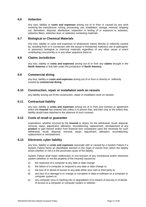# **6.6 Asbestos**

Any loss, liability or **costs and expenses** arising out of or from or caused by any work involving the manufacture, mining, processing, use, installation, storage, removal, stripping out, demolition, disposal, distribution, inspection or testing of or exposure to asbestos, asbestos fibres, asbestos dust, or asbestos containing materials.

#### **6.7 Biological or Chemical Materials**

Any loss, liability or costs and expenses of whatsoever nature directly or indirectly caused by, resulting from or in connection with the actual or threatened malicious use of pathogenic or poisonous biological or chemical materials regardless of any other cause or event contributing concurrently or in any other sequence there to.

#### **6.8 Claims Jurisdiction**

any loss, liability or **costs and expenses** arising out of or from any **claims** brought in the **North America** or that falls under the jurisdiction of **North America**.

#### **6.9 Commercial diving**

any loss, liability or **costs and expenses** arising out of or from or directly or indirectly caused by **commercial diving**.

#### **6.10 Construction, repair or installation work on vessels**

any liability arising out of the construction, repair or installation work on vessels.

#### **6.11 Contractual liability**

any loss, liability or **costs and expenses** arising out of or from any contract or agreement which the **insured** has entered into unless it is proven that, and then only to the extent that, liability would have attached in the absence of such contract.

## **6.12 Costs of recall or guarantee**

expenditure, whether incurred by the **insured** or others, for the withdrawal, recall, disposal, removal, repair, adjustment, alteration, reconditioning, replacement, reinstatement of any **product** or part thereof and/or from financial loss consequent upon the necessity for such withdrawal, recall, disposal, removal, repair, adjustment, alteration, reconditioning, replacement or reinstatement.

#### **6.13 Electronic cyber liability**

any loss, liability or **costs and expenses** associate with or caused by a System Failure if a System Failure forms an identifiable element in the chain of events from which the liability arises whether or not it is the proximate cause of the liability.

System Failure shall mean malfunction or non-function of any mechanical and/or electronic system (whether or not the property of the Insured) caused by:

- a) the response of a computer to any date or date change
- b) the failure of a computer to respond to any date or date change or;
- c) the loss of or denial of access to any data either your own or third party or;
- d) any loss of or damage to or change or corruption in data or software on a computer or computer system or;
- e) any computer virus or hacking into or degradation of or breach of security in of denial of access to a computer or computer system or website.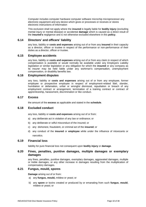Computer includes computer hardware computer software microchip microprocessor any electronic equipment and any device which gives or processes or receives or stores electronic instructions of information

This exclusion shall not apply where the **insured** is legally liable for **bodily injury** (excluding mental injury or mental disease) or accidental **damage** which is caused as a direct result of the **insured's** negligence and is not otherwise excluded elsewhere in this **policy**.

# **6.14 Directors' and officers' liability**

any loss, liability or **costs and expenses** arising out of or from any **insured** in their capacity as a director, officer or trustee in respect of the performance or non-performance of their duties as a director, officer or trustee.

#### **6.15 Employee accidents**

any loss, liability or **costs and expenses** arising out of or from any claim in respect of which compensation is available or would normally be available under any Employers Liability legislation or similar legislation or any obligation for which the **insured** or any company as its insurer may be held liable under any workman's compensation, unemployment compensation, or disability benefits law.

#### **6.16 Employment disputes**

any loss, liability or **costs and expenses** arising out of or from any employee, former employee or prospective employee in respect of employment-related libel, slander, humiliation or defamation, unfair or wrongful dismissal, repudiation or breach of any employment contract or arrangement, termination of a training contract or contract of apprenticeship, harassment, discrimination or like conduct.

#### **6.17 Excess**

the amount of the **excess** as applicable and stated in the **schedule**.

#### **6.18 Excluded conduct**

any loss, liability or **costs and expenses** arising out of or from:

- a) any deliberate act in violation of any law or ordinance; or
- b) any deliberate or wilful misconduct of the insured; or
- c) any dishonest, fraudulent, or criminal act of the **insured**; or
- d) any conduct of the **insured** or **employee** while under the influence of intoxicants or narcotics.

#### **6.19 Financial loss**

liability for pure financial loss not consequent upon **bodily injury** or **damage**.

#### **6.20 Fines, penalties, punitive damages, multiple damages or exemplary damages**

any fines, penalties, punitive damages, exemplary damages, aggravated damages, multiple or treble damages, or any other increase in damages resulting from the multiplication of compensatory damages.

# **6.21 Fungus, mould, spores**

**Damage** arising out of or from:

- a) any **fungus, mould,** mildew or yeast; or
- b) any **spore** or toxins created or produced by or emanating from such **fungus**, **mould**, mildew or yeast; or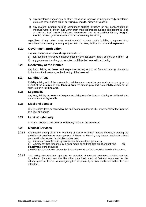- c) any substance vapour gas or other emission or organic or inorganic body substance produced by or arising out of any **fungus, mould,** mildew or yeast; or
- d) any material product building component building structure or any concentration of moisture water or other liquid within such material product building component building or structure that contains harbours nurtures or acts as a medium for any **fungus**, **mould**, mildew, yeast or **spore** or toxins emanating therefrom;

regardless of any other cause event material product and/or building component that contributed concurrently or in any sequence to that loss, liability or **costs and expenses**.

#### **6.22 Government prohibition**

any loss, liability or **costs and expenses** where:

- a) non-admitted insurance is not permitted by local legislation in any country or territory; or
- b) any government embargo or sanction prohibits the **insured** from trading.

#### **6.23 Insolvency of the insured**

any loss, liability or **costs and expenses** arising out of or from or relating directly or indirectly to the insolvency or bankruptcy of the **insured**.

#### **6.24 Landing Areas**

Liability arising out of the ownership, maintenance, operation, preparation or use by or on behalf of the **insured** of any **landing area** for aircraft provided such liability arises out of such use as a **landing area**.

#### **6.25 Legionella**

any loss, liability or **costs and expenses** arising out of or from or alleging or attributable to the existence of **legionella**.

#### **6.26 Libel and slander**

liability arising from or caused by the publication or utterance by or on behalf of the **insured** of a libel or slander.

# **6.27 Limit of indemnity**

liability in excess of the **limit of indemnity** stated in the **schedule**.

#### **6.28 Medical Services**

6.28.1 Any liability arising out of the rendering or failure to render medical services including the provision of treatment or management of illness or injury by any doctor, medically trained personnel or hyperbaric technicians other than:

a) the rendering of first aid by any medically unqualified person; or

b) emergency first response by a diver medic or certified first aid attendant who are **employees** of the **insured**;

provided that the **insurer** will not be liable where indemnity is provided by other insurance.

6.28.2 This policy excludes any operation or provision of medical treatment facilities including hyperbaric chambers and the like other than basic medical first aid equipment for the administration of first aid or emergency first response by a diver medic or certified first aid attendant.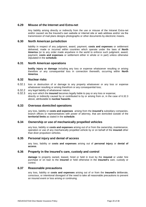# **6.29 Misuse of the Internet and Extra-net**

Any liability arising directly or indirectly from the use or misuse of the Intranet Extra-net and/or caused via the Insured's own website or internet site or web address and/or via the transmission of mail plans designs photographs or other documents by electronic means.

## **6.30 North American jurisdiction**

liability in respect of any judgment, award, payment, **costs and expenses** or settlement delivered, made or incurred within countries which operate under the laws of **North America** (or to any order made anywhere in the world to enforce such judgment, award, payment, **costs and expenses** or settlement either in whole or in part) unless otherwise stipulated in the **schedule**.

# **6.31 North American operations**

**bodily injury or damage** including any loss or expense whatsoever resulting or arising therefore or any consequential loss in connection therewith, occurring within **North America**.

#### **6.32 Nuclear risks**

- 6.32.1 loss or destruction of or damage to any property whatsoever or any loss or expense whatsoever resulting or arising therefrom or any consequential loss;
- 6.32.2 any legal liability of whatsoever nature;
- 6.32.3 any sum which the **insured** becomes legally liable to pay or any loss or expense; directly or indirectly caused by or contributed to by or arising from or, in the case of 6.32.3 above, attributable to **nuclear hazards**.

# **6.33 Overseas domiciled operations**

any loss, liability or **costs and expenses** arising from the **insured's** subsidiary companies, branch offices or representatives with power of attorney, that are domiciled outside of the **territorial limits** as stated in the **schedule**.

#### **6.34 Ownership or use of mechanically propelled vehicles**

any loss, liability or **costs and expenses** arising out of or from the ownership, maintenance, operation or use of any mechanically propelled vehicle by or on behalf of the **insured** other than diver propulsion vehicles.

#### **6.35 Personal injury and denial of access**

any loss, liability or **costs and expenses** arising out of **personal injury** or **denial of access**.

#### **6.36 Property in the insured's care, custody and control**

**damage** to property owned, leased, hired or held in trust by the **insured** or under hire purchase or on loan to the **insured** or held otherwise in the **insured's** care, custody or control.

### **6.37 Reasonable precautions**

any loss, liability or **costs and expenses** arising out of or from the **insured's** deliberate, conscious, or intentional disregard of the need to take all reasonable precautions to prevent an insured event or loss arising or continuing.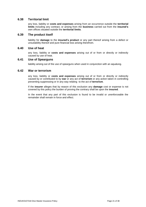# **6.38 Territorial limit**

any loss, liability or **costs and expenses** arising from an occurrence outside the **territorial limits** including any contract, or arising from the **business** carried out from the **insured's**  own offices situated outside the **territorial limits**.

#### **6.39 The product itself**

liability for **damage** to the **insured's product** or any part thereof arising from a defect or unsuitability thereof and pure financial loss arising therefrom.

#### **6.40 Use of heat**

any loss, liability or **costs and expenses** arising out of or from or directly or indirectly caused by use of heat.

#### **6.41 Use of Spearguns**

liability arising out of the use of spearguns when used in conjunction with an aqualung.

#### **6.42 War or terrorism**

any loss, liability or **costs and expenses** arising out of or from or directly or indirectly caused by or contributed to by **war** or any act of **terrorism** or any action taken in controlling preventing suppressing or in any way relating to the act of **terrorism**.

If the **insurer** alleges that by reason of this exclusion any **damage** cost or expense is not covered by this policy the burden of proving the contrary shall be upon the **insured**.

In the event that any part of this exclusion is found to be invalid or unenforceable the remainder shall remain in force and effect.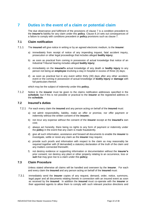# <span id="page-21-0"></span>**7 Duties in the event of a claim or potential claim**

The due observance and fulfilment of the provisions of clause 7 is a condition precedent to the **insurer's** liability for any claim under this **policy**. Clause 8.14 sets out consequences of a failure to comply with conditions precedent or **policy** provisions such as clause 7.

# **7.1 Claim notification**

- 7.1.1 The **insured** will give notice in writing or by an agreed electronic medium, to the **insurer**:
	- a) immediately from receipt of notice of any impending inquest, fatal accident inquiry, prosecution or other legal proceedings that includes alleged **bodily injury**;
	- b) as soon as practical from coming in possession of actual knowledge that notice of an Industrial Tribunal hearing includes alleged **bodily injury**;
	- c) immediately on the **insured's** actual knowledge of any death or **bodily injury** to any person not being an **employee** involving a stay in hospital in excess of three (3) days;
	- d) as soon as practical but in any event within thirty (30) days after any other accident, event or the coming in possession of actual knowledge of **bodily injury** or **damage** with full particulars thereof;

which may be the subject of indemnity under this **policy.**

7.1.2 Notice to the **insurer** must be given to the claims notification addresses specified in the **schedule**, but if this is not possible or practical to the **insurer** at the registered address in the **schedule**.

# **7.2 Insured's duties**

- 7.2.1 For each every claim the **insured** and any person acting on behalf of the **insured** must:
	- a) not admit responsibility, liability, make an offer or promise, nor offer payment or indemnity without the written consent of the **insurer;**
	- b) not incur any expense without the consent of the **insurer** except at the **insured's** own cost;
	- c) always act honestly, there being no rights to any form of payment or indemnity under the **policy** in the event that any claim is made fraudulently.
	- d) give all such information, assistance and forward all documents to enable the **insurer** to investigate, settle or resist any claim as the **insurer** may require;
	- e) provide such proofs and information with respect to the claim as may reasonably be required together with (if demanded) a statutory declaration of the truth of the claim and any matters connected therewith;
	- f) not destroy evidence or supporting information or documentation without the **insurer's** prior consent; nor destroy any plant or other property relating to an occurrence, loss or **suit** that may give rise to a claim under this **policy;**

# **7.3 Claim Procedure**

Unless stated otherwise all claims will be handled and overseen by the **insurer**. For each and every claim the **insured** and any person acting on behalf of the **insured** must:

7.3.1 immediately send the **insurer** copies of any request, demand, order, notice, summons, legal paper and all documents relating thereto in connection with an insured event as soon as received by the **insured**. In addition the **insured** must co-operate with the **insurer** or their appointed agents to allow them to comply with such relevant practice directions and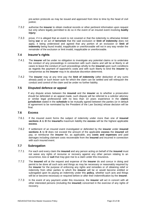pre-action protocols as may be issued and approved from time to time by the head of civil justice;

- 7.3.2 authorise the **insurer** to obtain medical records or other pertinent information upon request but only where legally permitted to do so in the event of an insured event involving **bodily injury**;
- 7.3.3 prove, if it is alleged that an event is not covered or that the indemnity is otherwise limited being **war** or an act of **terrorism** that the said exclusion or **limit of indemnity** does not apply, it being understood and agreed that any portion of an exclusion or **limit of indemnity** being found invalid, inapplicable or unenforceable will not in any way render the remainder of the exclusion or limit invalid, inapplicable or unenforceable.

# **7.4 Insurer's rights**

- 7.4.1 The **insurer** will be under no obligation to investigate any potential claims or to undertake the conduct of any proceedings in connection with such claims and will be at liberty in all cases to leave the conduct of such proceedings wholly to the **insured** upon such conditions as regards the payment of opponent's costs and with such liberty to bind the **insurer** by compromise as the **insurer** may in its absolute discretion determine.
- 7.4.2 The **insurer** may at any time pay the **limit of indemnity** (after deduction of any sums already paid) or such lesser sum for which the claim can be settled and will relinquish the conduct and control of the claim and be under no further liability.

## **7.5 Disputed defence or appeal**

If any dispute arises between the **insured** and the **insurer** as to whether a prosecution should be defended or an appeal made, such dispute will be referred to a solicitor attorney or similar legal professional with no less than 10 years experience in the **claims jurisdiction** stated in the **schedule** to be mutually agreed between the parties (or in default of agreement to be nominated by the President of the Law Society) whose decision will be final.

## **7.6 Excess**

- 7.6.1 If the insured event forms the subject of indemnity under more than one of **insured sections A** to **D** the **insured's** maximum liability the **excess** will be the highest applicable **excess**.
- 7.6.2 If settlement of an insured event investigated or defended by the **insurer** under **insured sections A** to **D** does not exceed the amount of the applicable **excess** the **insured** will pay, or reimburse the **insurer** for, as applicable, any **costs and expenses** and paid damages including claimant costs recoverable from the **insured** and incurred in connection with such insured event.

#### **7.7 Subrogation**

- 7.7.1 For each and every claim the **insured** and any person acting on behalf of the **insured** must not waive any rights of recourse or recovery against any other person relating to an occurrence, loss or **suit** that may give rise to a claim under this insurance**.**
- 7.7.2 The **insured** will at the request and expense of the **insurer** do and concur in doing and permit to be done all such acts and things as may be necessary or reasonably required by the **insurer** for the purpose of enforcing any rights and remedies or of obtaining relief or indemnity from other parties to which the **insurer** will be or would become entitled or subrogated upon its paying an indemnity under this **policy**, whether such acts and things will be or become necessary or required before or after their indemnification by the **insurer**.
- 7.7.3 In the event of any payment under this insurance, the **insurer** will act in concert with all other interested persons (including the **insured**) concerned in the exercise of any rights of recovery.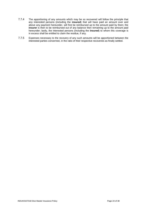- 7.7.4 The apportioning of any amounts which may be so recovered will follow the principle that any interested persons (including the **insured**) that will have paid an amount over and above any payment hereunder, will first be reimbursed up to the amount paid by them; the **insurer** is then to be reimbursed out of any balance then remaining up to the amount paid hereunder; lastly, the interested persons (including the **insured**) to whom this coverage is in excess shall be entitled to claim the residue, if any.
- 7.7.5 Expenses necessary to the recovery of any such amounts will be apportioned between the interested parties concerned, in the ratio of their respective recoveries as finally settled.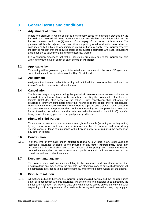# <span id="page-24-0"></span>**8 General terms and conditions**

# **8.1 Adjustment of premium**

Where the premium in whole or part is provisionally based on estimates provided by the **insured**, the **insured** will keep accurate records and declare such information as the **insurer** requires within one (1) month of the expiry of the **period of insurance**. The premium will then be adjusted and any difference paid by or allowed to the **insured** as the case may be but subject to any minimum premium that may apply. The **insurer** reserves the right to request that the **insured** supplies an auditor's certificate with such calculations as are subject to adjustment attesting the accuracy thereof.

It is a condition precedent that that all adjustable premiums due to the **insurer** are paid within ninety (90) days of expiry of each **period of insurance**.

# **8.2 Applicable law**

This **policy** will be governed by and interpreted in accordance with the laws of England and subject to the exclusive jurisdiction of the High Court, London.

# **8.3 Assignment**

Assignment of interest under this **policy** will not bind the **insurer** unless and until the **insurer's** written consent is endorsed hereon.

#### **8.4 Cancellation**

The **insurer** may at any time during the **period of insurance** serve written notice on the **insured** at the address shown on the **schedule** cancelling the **policy** with effect from the thirtieth (30th) day after service of the notice. Such cancellation shall not affect the coverage or premium attributable under this insurance to the period prior to cancellation. Upon demand the **insurer** will return to the **insured** a part of any premium paid in excess of that proportionate to the pre-cancelled portion of the **policy**. Without prejudice to any other forms of service, the notice of cancellation is deemed to be served on the third  $(3^{rd})$  day after being posted if sent by pre-paid letter post properly addressed.

# **8.5 Rights of Third Parties**

This insurance does not confer or create any right enforceable (including under legislation) by any person who is not named as the **insured** and both the **insurer** and **insured** may amend, cancel or lapse this insurance without giving notice to, or requiring the consent of, any other third party.

# **8.6 Contribution**

8.6.1 If at the time of any claim under **insured sections A** to **D** there is any other valid and collectible insurance available to the **insured** or any **other insured party** other than insurance that is specifically stated to be in excess of this **policy**, and names the **insured**  for the insurance, then the insurance afforded by this **policy** will be in excess of and will not contribute with such other insurance.

## **8.7 Document management**

The **insurer** may hold documents relating to this insurance and any claims under it in electronic form and may destroy the originals. An electronic copy of any such document will be admissible in evidence to the same extent as, and carry the same weight as, the original.

#### **8.8 Dispute resolution**

8.8.1 All matters in dispute between the **insured**, **other insured parties** and the **insurer** arising out of or in connection with this insurance, will be referred to a mediator to be agreed by the parties within fourteen (14) working days of a written notice served on one party by the other requesting such an agreement. If a mediator is not agreed then either party may apply to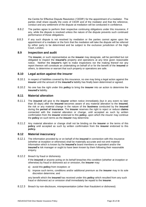the Centre for Effective Dispute Resolution ('CEDR') for the appointment of a mediator. The parties shall share equally the costs of CEDR and of the mediator and that the reference, conduct and any settlement of the dispute at mediation will be conducted in confidence.

- 8.8.2 The parties agree to perform their respective continuing obligations under this insurance, if any, while the dispute is resolved unless the nature of the dispute prevents such continued performance of those obligations.
- 8.8.3 If any such dispute is not resolved by mediation or the parties cannot agree upon the appointment of a mediator or the form that the mediation will take the dispute will be referred by either party to be determined and be subject to the exclusive jurisdiction of the High Court, London.

#### **8.9 Inspection and audit**

The **insurer,** or such representative as the **insurer** may designate, will be permitted but not obligated to inspect the **insured's** property and operations at any time given reasonable notice. Neither the **insurer's** right to make inspections nor the making thereof nor any report thereon will constitute an undertaking on behalf of or for the benefit of the **insured** or others, to determine or warrant that such property or operations are safe.

#### **8.10 Legal action against the insurer**

- 8.10.1 In respect of liabilities covered by this insurance, no one may bring a legal action against the **insurer** until the amount of the **insured's** liability has finally been determined or agreed.
- 8.10.2 No one has the right under this **policy** to bring the **insurer** into an action to determine the **insured's** liability.

#### **8.11 Material alteration**

- 8.11.1 The **insured** will give to the **insurer** written notice immediately (but in any event no later than 30 days) after the **insured** becomes aware of any material alteration to the **insured**, the risk or any material change in the nature of the **business** conducted by the **insured** during the **period of insurance**. The **insurer** reserves the right to reject or reduce **claims** connected with the material alteration or change, until accepted as such by written confirmation from the **insurer** endorsed to this **policy**, upon which the insurer may continue the **policy** on such terms as the **insurer** may determine.
- 8.11.2 Any material alteration or change shall not be binding on the **insurer** or the terms of this **policy** until accepted as such by written confirmation from the **insurer** endorsed to this **policy.**

# **8.12 Material inaccuracy**

- 8.12.1 The information provided by or on behalf of the **insured** in connection with this insurance (whether at inception or otherwise) shall be materially accurate and not omit material information which is known by the **insured's** board members or equivalent and/or the **insured's** risk manager or ought to have been known by them following their reasonable enquiry.
- 8.12.2 Breach by fraud or dishonesty

If the **insured** or anyone acting on its behalf breaches this condition (whether at inception or otherwise) by fraud or dishonest act or omission, the **insurer** may:

- a) avoid this **policy** from inception; or
- b) impose such terms, conditions and/or additional premium as the **insurer** may in its sole discretion determine; and

any benefit which the **insured** has received under this **policy** which resulted from any such fraud or dishonest act or omission shall immediately be repaid to the **insurer**.

8.12.3 Breach by non-disclosure, misrepresentation (other than fraudulent or dishonest)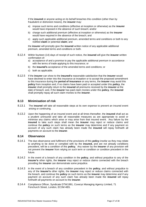If the **insured** or anyone acting on its behalf breaches this condition (other than by fraudulent or dishonest means), the **insurer** may:

- a) impose such terms and conditions (effective at inception or otherwise) as the **insurer**  would have imposed in the absence of such breach; and/or
- b) charge such additional premium (effective at inception or otherwise) as the **insurer**  would have required in the absence of the breach; and
- c) apply such applicable additional premium, amended terms and conditions or both to any notified **claim** or potential **claim**; and

the **insurer** will promptly give the **insured** written notice of any applicable additional premium, amended terms and conditions or both.

- 8.12.4 Within fourteen (14) days of receipt of such notice, the **insured** will give the **insurer** written confirmation of:
	- a) acceptance of and a promise to pay the applicable additional premium in accordance with the terms of trade applying to this insurance; or
	- b) the **insured's** acceptance of the amended terms and conditions; or
	- c) both as applicable.
- 8.12.5 If the **insurer** can show to the **insured's** reasonable satisfaction that the **insurer** would have declined to enter into this insurance at inception or to accept the proposed amendment to this insurance during the **period of insurance** on any terms, the **insurer** may avoid this **policy** from inception and, if no claims have been paid or accepted under this **policy**, the **insurer** shall promptly return to the **insured** all premiums received by the **insurer** at the date of breach; and, if the **insurer** has paid claim monies under this **policy**, the **insured** shall promptly repay all such claim monies to the **insurer**.

#### **8.13 Minimisation of risk**

- 8.13.1 The **insured** will take all reasonable steps at its own expense to prevent an insured event arising or continuing.
- 8.13.2 Upon the happening of an insured event and at all times thereafter, the **insured** shall act as a prudent uninsured and take all reasonable measures as are appropriate to avoid or minimise any claims which arise or may arise from that insured event. Any failure by the **insured** to take such steps shall mean the **insurer** may reject or reduce claims and continue the **policy** on such terms as the **insurer** may determine and if any payment on account of any such claim has already been made the **insured** will repay forthwith all payments on account to the **insurer**.

#### **8.14 Observance**

- 8.14.1 The due observance and fulfilment of the provisions of this **policy** insofar as they may relate to anything to be done or complied with by the **insured,** and are not already conditions precedent, will be a condition of this **policy.** Any waiver by the **insurer** of any provision will not prevent the **insurer** from relying on such term or condition or condition precedent in the future.
- 8.14.2 In the event of a breach of any condition in the **policy**, and without prejudice to any of the **insurer's** other rights, the **insurer** may reject or reduce claims connected with the breach providing the **insurer** can demonstrate some prejudice.
- 8.14.3 In the event of a breach of any condition precedent in the **policy**, and without prejudice to any of the **insurer's** other rights, the **insurer** may reject or reduce claims connected with the breach, and continue the **policy** on such terms as the **insurer** may determine and if any payment on account of any such claim has already been made the **insured** will repay forthwith all payments on account to the **insurer**.
- 8.14.4 Compliance Officer, Syndicate DTW1991, Coverys Managing Agency Limited, 71 Fenchurch Street, London, EC3M 4BS.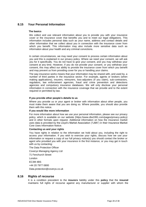# **8.15 Your Personal Information**

#### **The basics**

We collect and use relevant information about you to provide you with your insurance cover or the insurance cover that benefits you and to meet our legal obligations. This information includes personal data such as your name, address and contact details and other information that we collect about you in connection with the insurance cover from which you benefit. This information may also include more sensitive data such as information about your health and any criminal convictions.

In certain circumstances, we may need your consent to process certain information about you and this is explained in our privacy policy. Where we need your consent, we will ask you for it specifically. You do not have to give your consent, and you may withdraw your consent at any time. However, if you do not provide your consent, or you withdraw your consent, this may affect our ability to provide the insurance cover from which you benefit and may prevent us from providing cover for you or handling your claims.

The way insurance works means that your information may be shared with, and used by, a number of third parties in the insurance sector. For example, agents or brokers (when making applications), insurers, reinsurers, loss-adjusters (if you claim), sub-contractors, regulators, law enforcement agencies, fraud and crime prevention and detections agencies and compulsory insurance databases. We will only disclose your personal information in connection with the insurance coverage that we provide and to the extent required or permitted by law.

#### **If you provide other people's details to us**

Where you provide us or your agent or broker with information about other people, you must make them aware that you are doing so. Where possible, you should also provide them with this notice.

#### **If you would like more information**

For more information about how we use your personal information, please see our privacy policy, which is available on our website (https://www.dtw1991.com/pages/privacy-policy) and in other formats upon request. Additional information on how the insurance market uses data is provided by the Lloyd's Market Association ("LMA") in their Insurance Market Core Uses Information Notice.

#### **Contacting us and your rights**

You have rights in relation to the information we hold about you, including the right to access your information. If you wish to exercise your rights, discuss how we use your information or request a copy of our full privacy notice(s) you should contact the broker or agent who provided you with your insurance in the first instance, or you may get in touch with us by contacting:

The Data Protection Officer

Coverys Managing Agency Ltd

71 Fenchurch Street

London

EC3M 4BS

+44 20 7977 0800

Data.protection@coverys.co.uk

#### **8.16 Rights of recourse**

It is a condition precedent to the **insurers** liability under this **policy** that the **insured** maintains full rights of recourse against any manufacturer or supplier with whom the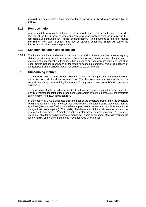**insured** has entered into a legal contract for the provision of **products** as defined by the **policy**.

## **8.17 Representation**

Any person falling within the definition of the **insured** agrees that the first named **insured** is their agent for the purpose of giving and receiving of any notices from the **insurer** or their representatives including any notice of cancellation. The payment to the first named **insured** of any return premium that may be payable under this **policy** will satisfy the **insurer's** obligations to return premium.

#### **8.18 Sanction limitation and exclusion**

8.18.1 The Insurer shall not be deemed to provide cover and no Insurer shall be liable to pay any claim or provide any benefit hereunder to the extent of such cover payment of such claim or provision of such benefit would expose that Insurer to any sanction prohibition or restriction under United Nations resolutions or the trade or economic sanctions laws or regulations of the European Union United Kingdom or United States of America.

#### **8.19 Subscribing insurer**

The **insurers'** obligations under this **policy** are several and not joint and are limited solely to the extent of their individual subscriptions. The **insurers** are not responsible for the subscription of any co-subscribing **insurer** who for any reason does not satisfy all or part of its obligations.

The proportion of liability under this contract underwritten by a company (or in the case of a Lloyd's syndicate the total of the proportions underwritten by all the members of the syndicate taken together) is shown in this contract.

In the case of a Lloyd's syndicate each member of the syndicate (rather than the syndicate itself) is a company. Each member has underwritten a proportion of the total shown for the syndicate (that total itself being the total of the proportions underwritten by all the members of the syndicate taken together). The liability of each member of the syndicate is several and not joint with other members. A member is liable only for that member's proportion. A member is not jointly liable for any other members' proportion. Nor is any member otherwise responsible for any liability of any other Insurer that may underwrite this contract.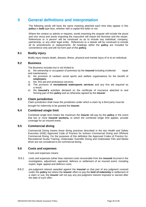# <span id="page-29-0"></span>**9 General definitions and interpretation**

The following words will have the same meaning attached each time they appear in this **policy** in **bold** type face, whether with a capital first letter or not.

Where the context so admits or requires, words importing the singular will include the plural and vice versa and words importing the masculine will import the feminine and the neuter. References to 'a person' will be construed so as to include any individual, company, partnership, or any other legal entity. References to a statute will be construed to include all its amendments or replacements. All headings within the **policy** are included for convenience only and will not form part of this **policy.**

# **9.1 Bodily injury**

Bodily injury means death, disease, illness, physical and mental injury of or to an individual.

# **9.2 Business**

The Business includes but is not limited to

a) the ownership or occupation of premises by the **insured** including incidental repair and maintenance;

- b) the provision of canteen social sports and welfare organisations for the benefit of **employees**;
- c) fire, first aid and ambulance services;
- d) The provision of **recreational watersports services** and any first aid required as a result;
- e) the **insured's** activities declared on the certificate of insurance attached to and forming part of this **policy** and as otherwise agreed by the **insurer**.

#### **9.3 Claim jurisdiction**

Claim jurisdiction shall mean the jurisdiction under which a claim by a third party must be brought for indemnity to be granted the **insurer**.

# **9.4 Combined single limit**

Combined single limit means the maximum the **insurer** will pay by this **policy** in the event that two or more **insured sections,** to which the combined single limit applies, provide coverage for an insured event**.**

# **9.5 Commercial diving**

Commercial Diving means those diving practices described in the two Health and Safety Executive (HSE) Approved Code of Practice for Inshore Commercial Diving and Offshore Commercial Diving. For the purposes of this definition the Approved Codes of Practice for; Recreational Scuba Training, Underwater Scientific Diving and Underwater Film and Media Work are not considered to be commercial diving.

# **9.6 Costs and expenses**

Costs and expenses means

- 9.6.1 costs and expenses (other than claimant costs recoverable from the **insured** incurred in the investigation, adjustment, appraisal, defence or settlement of an insured event, including expert, legal, appeal and defence costs;
- 9.6.2 pre-judgment interest awarded against the **insured** on that part of any judgment covered under this **policy** but where the **insurer** offers to pay the **limit of indemnity** in settlement of a claim or suit, the **insurer** will not pay any pre-judgment interest imposed or earned after the date of such offer;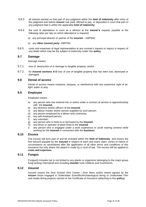- 9.6.3 all interest earned on that part of any judgment within the **limit of indemnity** after entry of the judgment and before **insurer** has paid, offered to pay, or deposited in court that part of any judgment that is within the applicable **limit of indemnity;**
- 9.6.4 the cost of attendance in court as a witness at the **insurer's** request, payable at the following rates per day on which attendance is required:
	- a) any principal director or partner of the **insured** GBP500;
	- b) any **other insured party** -GBP250;
- 9.6.5 costs and expenses of legal representation at any coroner's inquest or inquiry in respect of any death which may be the subject of indemnity under this **policy**.

#### **9.7 Damage**

Damage means:

- 9.7.1 loss of, destruction of or damage to tangible property; and/or
- 9.7.2 for **insured sections A**-**D** loss of use of tangible property that has been lost, destroyed or damaged.

#### **9.8 Denial of access**

Denial of access means nuisance, trespass, or interference with any easement, right of air, light, water or way.

#### **9.9 Employee**

Employee means:

- a) any person who has entered into or works under a contract of service or apprenticeship with the **insured**;
- b) any directors and/or officers of the **insured**;
- c) any labour-master and/or person supplied by such person;
- d) any person employed by a labour-only contractor;
- e) any self-employed person;
- f) any volunteer;
- g) any person who is hired to or borrowed by the **insured**;
- h) any driver or operator of plant hired to the **insured**;
- i) any person who is engaged under a work experience or youth training scheme while working for the **insured** in connection with the **business**.

# **9.10 Excess**

The excess will form part of and be included within the **limit of indemnity** and means the first amount payable by the **insured** in respect of each and every claim, series of claims or circumstance as ascertained after the application of all other terms and conditions of this insurance but only where the award is made by a court of law. The excess will be applied to **costs and expenses**.

#### **9.11 Fungus**

Fungus(i) includes but is not limited to any plants or organisms belonging to the major group fungi lacking chlorophyll and including **moulds** rusts mildews and mushrooms.

### **9.12 Insured**

Insured means the Dive School/ Dive Centre / Dive Store and/or where agreed by the **insurer** those engaged in Underwater Scientific/Archaeological diving or Underwater Film and media diving projects named on the Certificate of Insurance (attaching to this **policy**).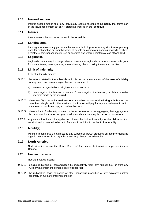# **9.13 Insured section**

Insured section means all or any individually lettered sections of this **policy** that forms part of the insurance contact but only if stated as 'insured' in the **schedule**.

#### **9.14 Insurer**

Insurer means the insurer as named in the **schedule.**

#### **9.15 Landing area**

Landing area means any part of earth's surface including water or any structure or property used for embarkation or disembarkation of people or loading or unloading of goods or where aircraft are kept, housed maintained or operated and where aircraft may take off and land.

#### **9.16 Legionella**

Legionella means any discharge release or escape of legionella or other airborne pathogens from water tanks, water systems, air-conditioning plants, cooling towers and the like.

#### **9.17 Limit of indemnity**

Limit of indemnity means:

- 9.17.1 the amount stated in the **schedule** which is the maximum amount of the **insurer's** liability for any one (1) occurrence regardless of the number of:
	- a) persons or organisations bringing claims or **suits**; or
	- b) claims against the **insured** or series of claims against the **insured**, or claims or series of claims made by the **insured**;
- 9.17.2 where two (2) or more **insured sections** are subject to a **combined single limit**, then the **combined single limit** is the maximum the **insurer** will pay for any insured event to which such **insured sections** apply in combination, and;
- 9.17.3 where a limit of indemnity is stated in the **schedule** as in the aggregate, that aggregate is the maximum the **insurer** will pay for all insured events during the **period of insurance**.
- 9.17.4 Any sub-limit of indemnity applies as if it was the limit of indemnity for the **claims** for that sub-limit and is deemed to be part of and not in addition to the **limit of indemnity**.

# **9.18 Mould(s)**

Mould(s) means, but is not limited to any superficial growth produced on damp or decaying organic matter or on living organisms and fungi that produced moulds.

#### **9.19 North America**

North America means the United States of America or its territories or possessions or Canada.

# **9.20 Nuclear hazards**

Nuclear hazards means:

- 9.20.1 ionising radiations or contamination by radioactivity from any nuclear fuel or from any nuclear waste from the combustion of nuclear fuel;
- 9.20.2 the radioactive, toxic, explosive or other hazardous properties of any explosive nuclear assembly or nuclear component thereof;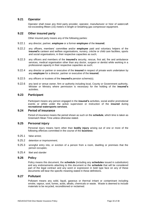# **9.21 Operator**

Operator shall mean any third party provider, operator, manufacturer or hirer of watercraft not exceeding fifteen (15) meters in length or breathing gas compressor equipment.

# **9.22 Other insured party**

Other insured party means any of the following parties:

- 9.22.1 any director, partner, **employee** or a former **employee** of the **insured**;
- 9.22.2 any officers, members' committee and/or **employee** paid and voluntary helpers of the **insured's** canteen and welfare organisations, nursery, crèche or child care facilities, sports and social organisations, in their respective capacities as such;
- 9.22.3 any officers and members of the **insured's** security, rescue, first aid, fire and ambulance services, medical organisation other than any doctor, surgeon or dentist while working in a professional capacity in their respective capacities as such;
- 9.22.4 any director or partner or executive of the **insured** in respect of private work undertaken by any **employee** for a director, partner or executive of the **insured**;
- 9.22.5 any officers or trustees of the **insured's** pension scheme(s).
- 9.22.6 any land or venue owner, firm or authority including local, County or Government authority, Minister or Ministry where permission is necessary for the holding of the **insured's** activities.

# **9.23 Participant**

Participant means any person engaged in the **insured's** activities, social and/or promotional events or whilst under the active supervision or instruction of the **insured** during **recreational watersports services**.

#### **9.24 Period of insurance**

Period of insurance means the period shown as such on the **schedule**, which time is taken as Greenwich Mean Time unless otherwise stated.

# **9.25 Personal injury**

Personal injury means harm other than **bodily injury** arising out of one or more of the following offences committed in the course of the **business:** 

- 9.25.1 false arrest;
- 9.25.2 detention or imprisonment;
- 9.25.3 wrongful entry into, or eviction of a person from a room, dwelling or premises that the person occupies;
- 9.25.4 libel and slander

#### **9.26 Policy**

Policy means this document, the **schedule** (including any **schedules** issued in substitution) and any endorsements attaching to this document or the **schedule** that will be considered part of the legal contract and any word or expression in bold type face on any of these documents will bear the specific meaning stated in these definitions.

#### **9.27 Pollutant**

Pollutant means any solid, liquid, gaseous or thermal irritant or contaminant including smoke, vapour, soot, fumes, acids, alkalis, chemicals or waste. Waste is deemed to include materials to be recycled, reconditioned or reclaimed.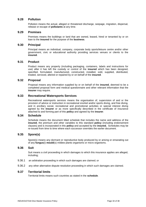## **9.28 Pollution**

Pollution means the actual, alleged or threatened discharge, seepage, migration, dispersal, release or escape of **pollutants** at any time.

#### **9.29 Premises**

Premises means the buildings or land that are owned, leased, hired or tenanted by or on loan to the **insured** for the purpose of the **business**.

#### **9.30 Principal**

Principal means an individual, company, corporate body sports/leisure centre and/or other government, civic or educational authority providing services venues or clients to the **insured**.

#### **9.31 Product**

Product means any property (including packaging, containers, labels and instructions for use) after it has left the custody or control of the **insured** which has been designed, specified, formulated, manufactured, constructed, installed, sold, supplied, distributed, treated, serviced, altered or repaired by or on behalf of the **insured**.

#### **9.32 Proposal**

Proposal means any information supplied by or on behalf of the **insured**, deemed to be a completed proposal form and medical questionnaire and other relevant information that the **insurer** may require.

## **9.33 Recreational Watersports Services**

Recreational watersports services means the organisation of, supervision of and or the provision of advice or instruction in recreational snorkel and/or sports diving, and free diving, and in ancillary social, recreational and promotional activities or special interest diving agreed by the **insurer** or as more specifically described in the certificate of insurance attached to and forming part of this **policy** and agreed by the **insurer**.

#### **9.34 Schedule**

Schedule means the document titled schedule that includes the name and address of the **insured**, the premium and other variables to this standard **policy** (including endorsement clauses) and is incorporated in this **policy** and accepted by the **insured.** Schedules may be re-issued from time to time where each successor overrides the earlier document.

# **9.35 Spore(s)**

Spore(s) means any dormant or reproductive body produced by or arising or emanating out of any **fungus**(i) **mould**(s) mildew plants organisms or micro organisms.

#### **9.36 Suit**

Suit means a civil proceeding in which damages to which this insurance applies are alleged, including;

- 9.36.1 an arbitration proceeding in which such damages are claimed; or
- 9.36.2 any other alternative dispute resolution proceeding in which such damages are claimed.

# **9.37 Territorial limits**

Territorial limits means such countries as stated in the **schedule**.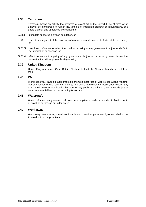# **9.38 Terrorism**

Terrorism means an activity that involves a violent act or the unlawful use of force or an unlawful act dangerous to human life, tangible or intangible property or infrastructure, or a threat thereof; and appears to be intended to

- 9.38.1 intimidate or coerce a civilian population, or
- 9.38.2 disrupt any segment of the economy of a government de jure or de facto, state, or country, or
- 9.38.3 overthrow, influence, or affect the conduct or policy of any government de jure or de facto by intimidation or coercion, or
- 9.38.4 affect the conduct or policy of any government de jure or de facto by mass destruction, assassination, kidnapping or hostage-taking.

#### **9.39 United Kingdom**

United Kingdom means Great Britain, Northern Ireland, the Channel Islands or the Isle of Man.

#### **9.40 War**

War means war, invasion, acts of foreign enemies, hostilities or warlike operations (whether war be declared or not), civil war, mutiny, revolution, rebellion, insurrection, uprising, military or usurped power or confiscation by order of any public authority or government de jure or de facto or martial law but not including **terrorism**.

# **9.41 Watercraft**

Watercraft means any vessel, craft, vehicle or appliance made or intended to float on or in or travel on or through or under water.

## **9.42 Work away**

Work away means work, operations, installation or services performed by or on behalf of the **insured** but not on **premises.**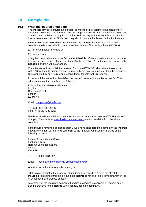# <span id="page-35-0"></span>**10 Complaints**

#### **10.1 What the insured should do**

The **insurer** strives to provide an excellent service to all its customers but occasionally things can go wrong. The **insurer** takes all complaints seriously and endeavours to resolve all customers' problems promptly. If the **insured** has a question or complaint about this insurance or the conduct of its broker, they should contact that broker in the first instance.

Alternatively, if the **insured** wishes to contact the **insurer** directly to make a formal complaint the **insured** should contact the Compliance Officer at Syndicate DTW1991:

- (a) in writing (letter or email) or;
- (b) by telephone

using the contact details as specified in the **Schedule.** If the Insured should wish to speak to someone face to face please telephone Syndicate DTW1991 at the number shown in the **Schedule** and this will be arranged.

Once the Insured's complaint is received Syndicate DTW1991 shall attempt to respond within 10 working days from the date of receipt but in any event no later than the response time stipulated by any instructions received from the relevant UK regulator.

In the event the Insured is dissatisfied the Insured can refer the matter to Lloyd's. Their address and contact details are as follows:-

Policyholder and Market Assistance Lloyd's One Lime Street London EC3M 7HA

Email: [complaints@lloyds.com](mailto:complaints@lloyds.com)

Tel: +44 (0)20 7327 5693 Fax: +44 (0)20 7327 5225

Details of Lloyd's complaints procedures are set out in a leaflet "How We Will Handle Your Complaint" available at [www.lloyds.com/complaints](http://www.lloyds.com/complaints) are also available from the above complaint.

If the **insured** remains dissatisfied after Lloyd's have considered the complaint the **insured**  may have the right to refer their complaint to the Financial Ombudsman Service at the following address:

Financial Ombudsman Service Exchange Tower Harbour Exchange Square London E14 9SR

Tel 0800 0234 567

Email [complaint.info@financial-ombudsman.org.uk](mailto:complaint.info@financial-ombudsman.org.uk)

Website www.financial-ombudsman.org.uk

Making a complaint to the Financial Ombudsman Service (FOS) does not affect the **insured's** rights under this **policy** but if the **insured** is not an eligible complainant then the informal complaint process ceases.

A summary of the **insurer's** complaint handling procedure is available on request and will also be provided to the **insured** when acknowledging a complaint.